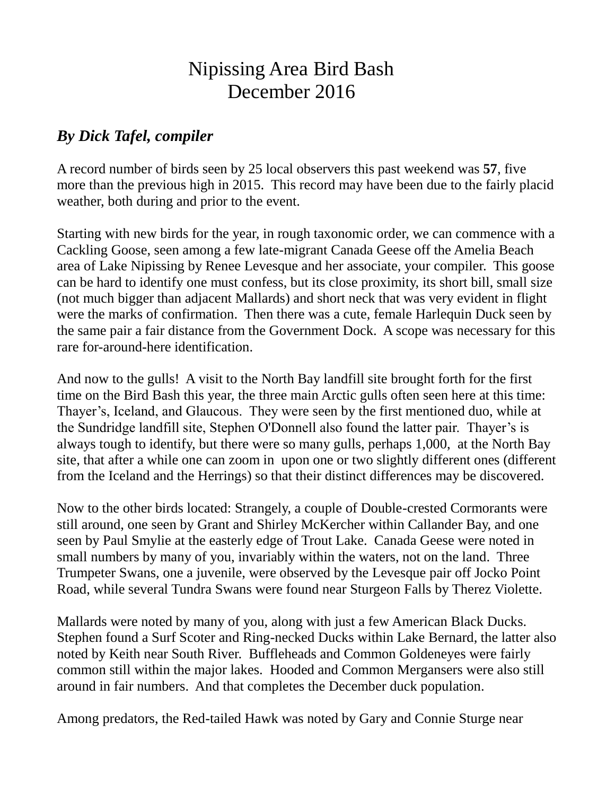## Nipissing Area Bird Bash December 2016

## *By Dick Tafel, compiler*

A record number of birds seen by 25 local observers this past weekend was **57**, five more than the previous high in 2015. This record may have been due to the fairly placid weather, both during and prior to the event.

Starting with new birds for the year, in rough taxonomic order, we can commence with a Cackling Goose, seen among a few late-migrant Canada Geese off the Amelia Beach area of Lake Nipissing by Renee Levesque and her associate, your compiler. This goose can be hard to identify one must confess, but its close proximity, its short bill, small size (not much bigger than adjacent Mallards) and short neck that was very evident in flight were the marks of confirmation. Then there was a cute, female Harlequin Duck seen by the same pair a fair distance from the Government Dock. A scope was necessary for this rare for-around-here identification.

And now to the gulls! A visit to the North Bay landfill site brought forth for the first time on the Bird Bash this year, the three main Arctic gulls often seen here at this time: Thayer's, Iceland, and Glaucous. They were seen by the first mentioned duo, while at the Sundridge landfill site, Stephen O'Donnell also found the latter pair. Thayer's is always tough to identify, but there were so many gulls, perhaps 1,000, at the North Bay site, that after a while one can zoom in upon one or two slightly different ones (different from the Iceland and the Herrings) so that their distinct differences may be discovered.

Now to the other birds located: Strangely, a couple of Double-crested Cormorants were still around, one seen by Grant and Shirley McKercher within Callander Bay, and one seen by Paul Smylie at the easterly edge of Trout Lake. Canada Geese were noted in small numbers by many of you, invariably within the waters, not on the land. Three Trumpeter Swans, one a juvenile, were observed by the Levesque pair off Jocko Point Road, while several Tundra Swans were found near Sturgeon Falls by Therez Violette.

Mallards were noted by many of you, along with just a few American Black Ducks. Stephen found a Surf Scoter and Ring-necked Ducks within Lake Bernard, the latter also noted by Keith near South River. Buffleheads and Common Goldeneyes were fairly common still within the major lakes. Hooded and Common Mergansers were also still around in fair numbers. And that completes the December duck population.

Among predators, the Red-tailed Hawk was noted by Gary and Connie Sturge near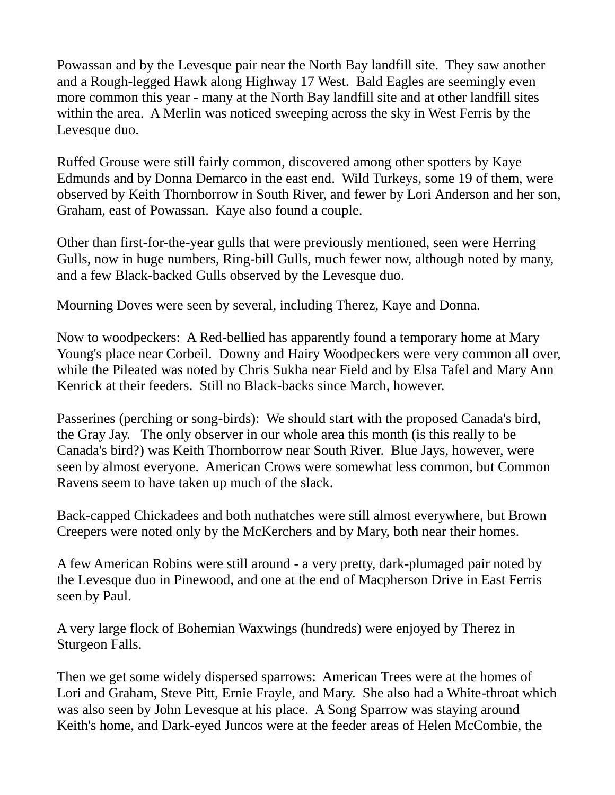Powassan and by the Levesque pair near the North Bay landfill site. They saw another and a Rough-legged Hawk along Highway 17 West. Bald Eagles are seemingly even more common this year - many at the North Bay landfill site and at other landfill sites within the area. A Merlin was noticed sweeping across the sky in West Ferris by the Levesque duo.

Ruffed Grouse were still fairly common, discovered among other spotters by Kaye Edmunds and by Donna Demarco in the east end. Wild Turkeys, some 19 of them, were observed by Keith Thornborrow in South River, and fewer by Lori Anderson and her son, Graham, east of Powassan. Kaye also found a couple.

Other than first-for-the-year gulls that were previously mentioned, seen were Herring Gulls, now in huge numbers, Ring-bill Gulls, much fewer now, although noted by many, and a few Black-backed Gulls observed by the Levesque duo.

Mourning Doves were seen by several, including Therez, Kaye and Donna.

Now to woodpeckers: A Red-bellied has apparently found a temporary home at Mary Young's place near Corbeil. Downy and Hairy Woodpeckers were very common all over, while the Pileated was noted by Chris Sukha near Field and by Elsa Tafel and Mary Ann Kenrick at their feeders. Still no Black-backs since March, however.

Passerines (perching or song-birds): We should start with the proposed Canada's bird, the Gray Jay. The only observer in our whole area this month (is this really to be Canada's bird?) was Keith Thornborrow near South River. Blue Jays, however, were seen by almost everyone. American Crows were somewhat less common, but Common Ravens seem to have taken up much of the slack.

Back-capped Chickadees and both nuthatches were still almost everywhere, but Brown Creepers were noted only by the McKerchers and by Mary, both near their homes.

A few American Robins were still around - a very pretty, dark-plumaged pair noted by the Levesque duo in Pinewood, and one at the end of Macpherson Drive in East Ferris seen by Paul.

A very large flock of Bohemian Waxwings (hundreds) were enjoyed by Therez in Sturgeon Falls.

Then we get some widely dispersed sparrows: American Trees were at the homes of Lori and Graham, Steve Pitt, Ernie Frayle, and Mary. She also had a White-throat which was also seen by John Levesque at his place. A Song Sparrow was staying around Keith's home, and Dark-eyed Juncos were at the feeder areas of Helen McCombie, the